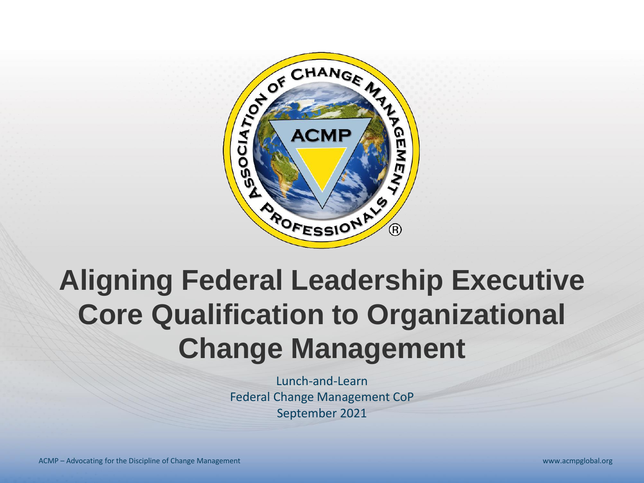

# **Aligning Federal Leadership Executive Core Qualification to Organizational Change Management**

Lunch-and-Learn Federal Change Management CoP September 2021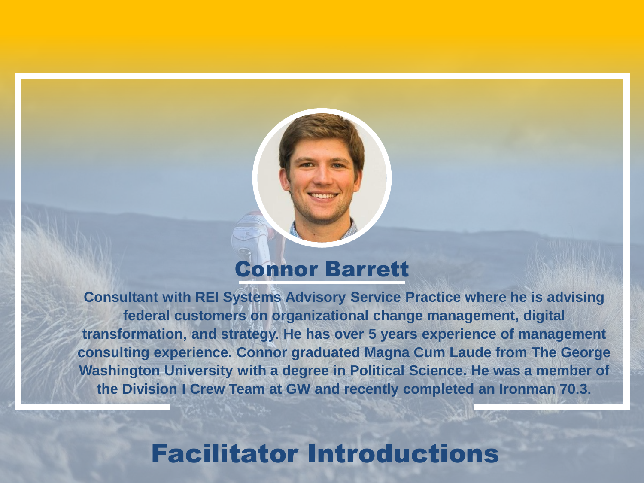#### Connor Barrett

**Consultant with REI Systems Advisory Service Practice where he is advising federal customers on organizational change management, digital transformation, and strategy. He has over 5 years experience of management consulting experience. Connor graduated Magna Cum Laude from The George Washington University with a degree in Political Science. He was a member of the Division I Crew Team at GW and recently completed an Ironman 70.3.**

#### Facilitator Introductions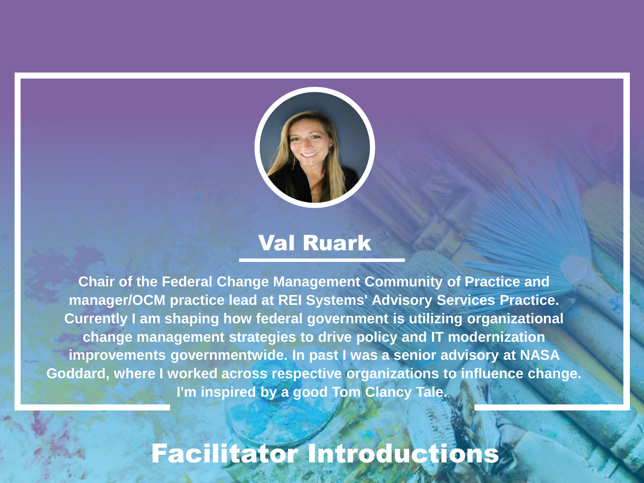

#### Val Ruark

**Chair of the Federal Change Management Community of Practice and manager/OCM practice lead at REI Systems' Advisory Services Practice. Currently I am shaping how federal government is utilizing organizational change management strategies to drive policy and IT modernization improvements governmentwide. In past I was a senior advisory at NASA Goddard, where I worked across respective organizations to influence change. I'm inspired by a good Tom Clancy Tale.**

# Facilitator Introductions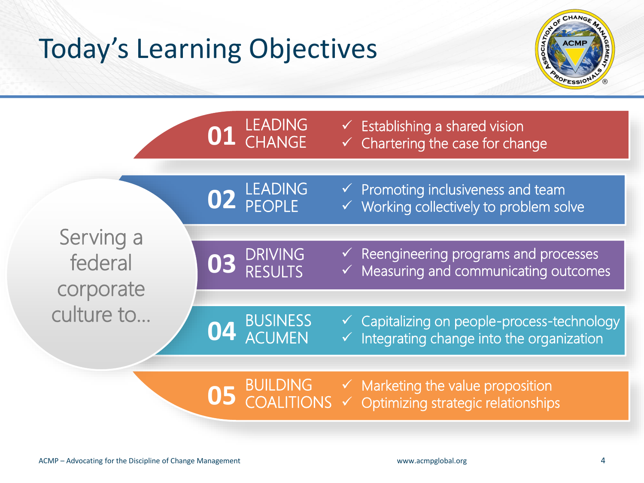# Today's Learning Objectives



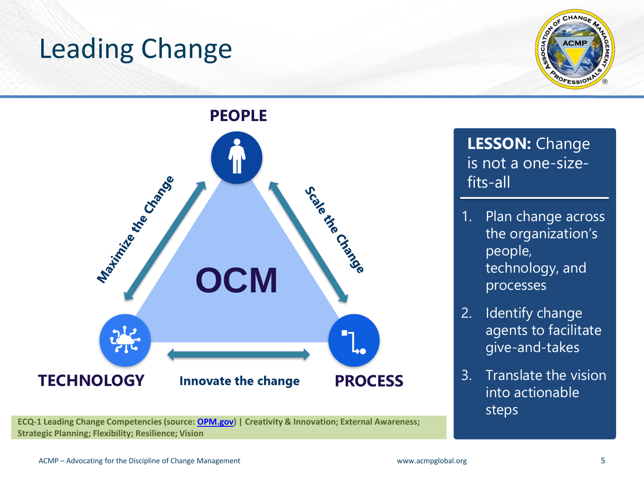### Leading Change





**ECQ-1 Leading Change Competencies (source: [OPM.gov](https://www.opm.gov/policy-data-oversight/senior-executive-service/executive-core-qualifications/)) | Creativity & Innovation; External Awareness; Strategic Planning; Flexibility; Resilience; Vision**

**LESSON:** Change is not a one-sizefits-all

- 1. Plan change across the organization's people, technology, and processes
- 2. Identify change agents to facilitate give-and-takes
- 3. Translate the vision into actionable steps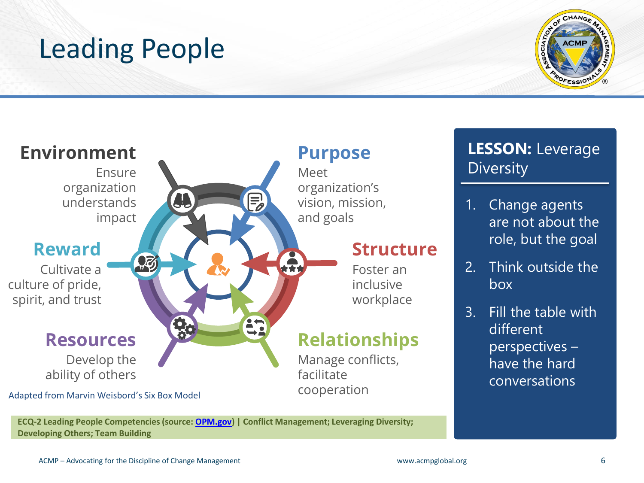# Leading People





**ECQ-2 Leading People Competencies (source: [OPM.gov](https://www.opm.gov/policy-data-oversight/senior-executive-service/executive-core-qualifications/)) | Conflict Management; Leveraging Diversity; Developing Others; Team Building**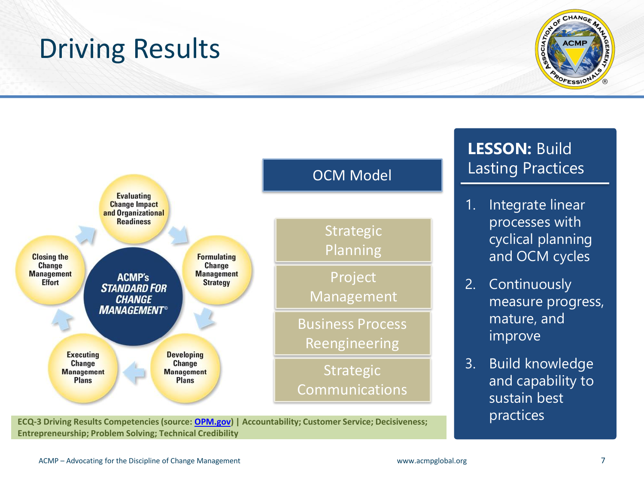# Driving Results





**ECQ-3 Driving Results Competencies (source: [OPM.gov](https://www.opm.gov/policy-data-oversight/senior-executive-service/executive-core-qualifications/)) | Accountability; Customer Service; Decisiveness; Entrepreneurship; Problem Solving; Technical Credibility**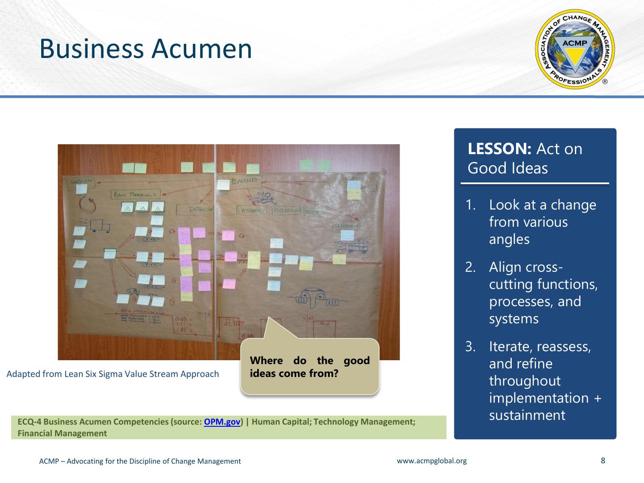#### Business Acumen





**ECQ-4 Business Acumen Competencies (source: [OPM.gov\)](https://www.opm.gov/policy-data-oversight/senior-executive-service/executive-core-qualifications/) | Human Capital; Technology Management; Financial Management** 

#### **LESSON:** Act on Good Ideas

- 1. Look at a change from various angles
- 2. Align crosscutting functions, processes, and systems
- 3. Iterate, reassess, and refine throughout implementation + sustainment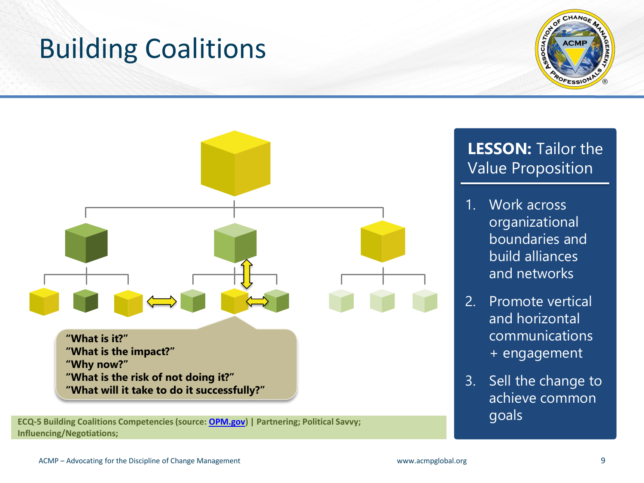# Building Coalitions





**Influencing/Negotiations;** 

#### **LESSON:** Tailor the Value Proposition

- 1. Work across organizational boundaries and build alliances and networks
- 2. Promote vertical and horizontal communications + engagement
- 3. Sell the change to achieve common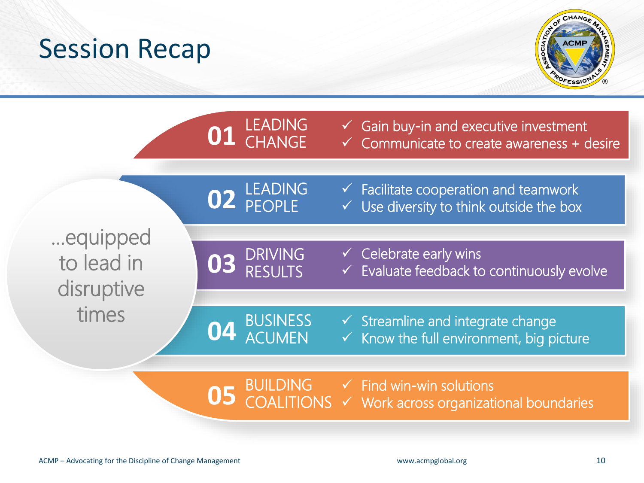#### Session Recap